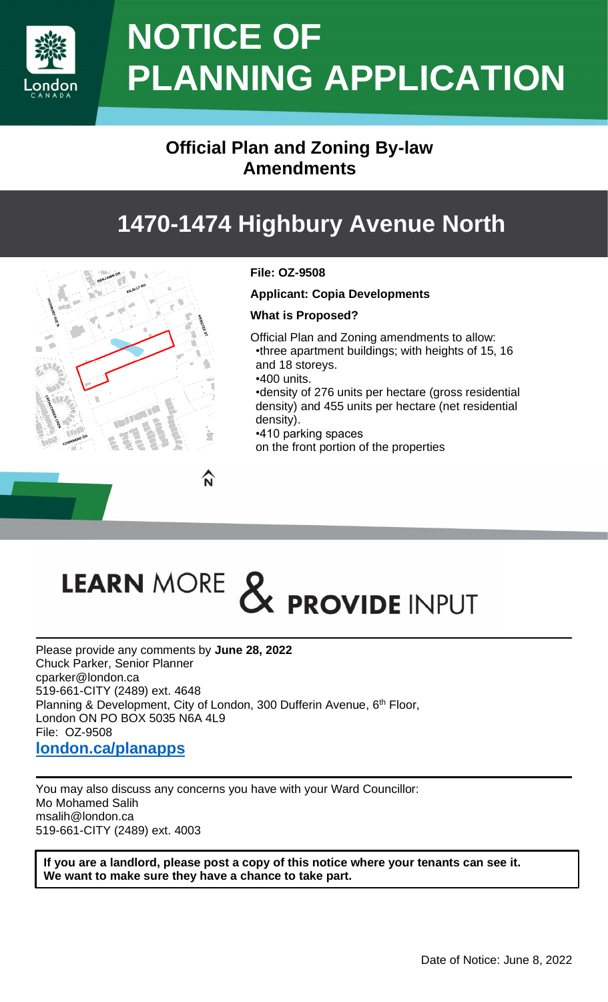

## **NOTICE OF PLANNING APPLICATION**

## **Official Plan and Zoning By-law Amendments**

## **1470-1474 Highbury Avenue North**



#### **File: OZ-9508**

**Applicant: Copia Developments**

#### **What is Proposed?**

- Official Plan and Zoning amendments to allow: •three apartment buildings; with heights of 15, 16 and 18 storeys.
- •400 units.

•density of 276 units per hectare (gross residential density) and 455 units per hectare (net residential density).

•410 parking spaces

on the front portion of the properties

# LEARN MORE & PROVIDE INPUT

Please provide any comments by **June 28, 2022** Chuck Parker, Senior Planner cparker@london.ca 519-661-CITY (2489) ext. 4648 Planning & Development, City of London, 300 Dufferin Avenue, 6<sup>th</sup> Floor, London ON PO BOX 5035 N6A 4L9 File: OZ-9508 **[london.ca/planapps](https://london.ca/business-development/planning-development-applications/planning-applications)**

You may also discuss any concerns you have with your Ward Councillor: Mo Mohamed Salih msalih@london.ca 519-661-CITY (2489) ext. 4003

**If you are a landlord, please post a copy of this notice where your tenants can see it. We want to make sure they have a chance to take part.**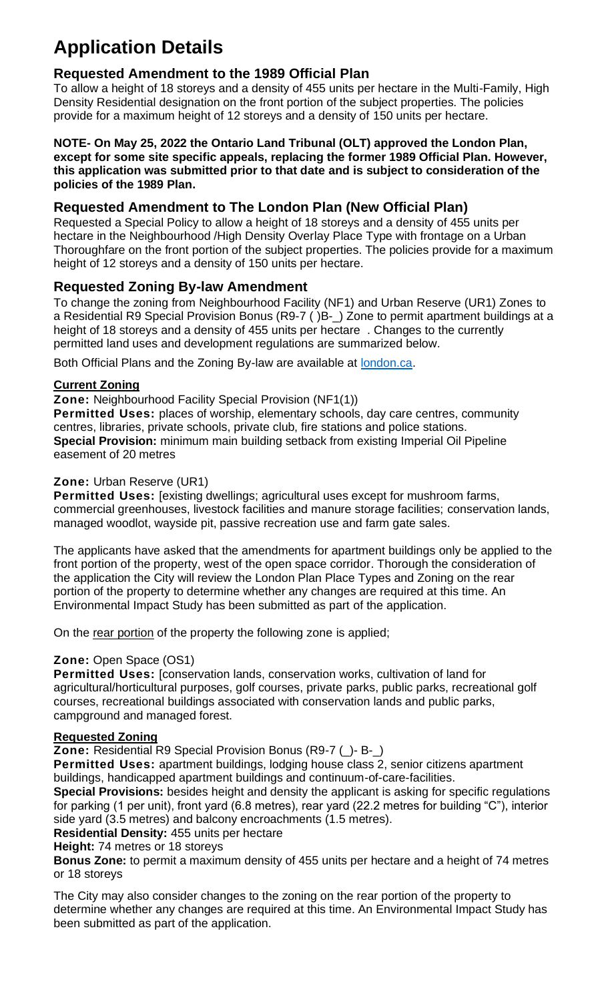## **Application Details**

#### **Requested Amendment to the 1989 Official Plan**

To allow a height of 18 storeys and a density of 455 units per hectare in the Multi-Family, High Density Residential designation on the front portion of the subject properties. The policies provide for a maximum height of 12 storeys and a density of 150 units per hectare.

#### **NOTE- On May 25, 2022 the Ontario Land Tribunal (OLT) approved the London Plan, except for some site specific appeals, replacing the former 1989 Official Plan. However, this application was submitted prior to that date and is subject to consideration of the policies of the 1989 Plan.**

#### **Requested Amendment to The London Plan (New Official Plan)**

Requested a Special Policy to allow a height of 18 storeys and a density of 455 units per hectare in the Neighbourhood /High Density Overlay Place Type with frontage on a Urban Thoroughfare on the front portion of the subject properties. The policies provide for a maximum height of 12 storeys and a density of 150 units per hectare.

#### **Requested Zoning By-law Amendment**

To change the zoning from Neighbourhood Facility (NF1) and Urban Reserve (UR1) Zones to a Residential R9 Special Provision Bonus (R9-7 ( )B-\_) Zone to permit apartment buildings at a height of 18 storeys and a density of 455 units per hectare . Changes to the currently permitted land uses and development regulations are summarized below.

Both Official Plans and the Zoning By-law are available at **london.ca**.

#### **Current Zoning**

**Zone:** Neighbourhood Facility Special Provision (NF1(1))

**Permitted Uses:** places of worship, elementary schools, day care centres, community centres, libraries, private schools, private club, fire stations and police stations. **Special Provision:** minimum main building setback from existing Imperial Oil Pipeline easement of 20 metres

#### **Zone:** Urban Reserve (UR1)

**Permitted Uses:** [existing dwellings; agricultural uses except for mushroom farms, commercial greenhouses, livestock facilities and manure storage facilities; conservation lands, managed woodlot, wayside pit, passive recreation use and farm gate sales.

The applicants have asked that the amendments for apartment buildings only be applied to the front portion of the property, west of the open space corridor. Thorough the consideration of the application the City will review the London Plan Place Types and Zoning on the rear portion of the property to determine whether any changes are required at this time. An Environmental Impact Study has been submitted as part of the application.

On the rear portion of the property the following zone is applied;

#### **Zone:** Open Space (OS1)

**Permitted Uses:** [conservation lands, conservation works, cultivation of land for agricultural/horticultural purposes, golf courses, private parks, public parks, recreational golf courses, recreational buildings associated with conservation lands and public parks, campground and managed forest.

#### **Requested Zoning**

**Zone:** Residential R9 Special Provision Bonus (R9-7 (\_)- B-\_)

**Permitted Uses:** apartment buildings, lodging house class 2, senior citizens apartment buildings, handicapped apartment buildings and continuum-of-care-facilities.

**Special Provisions:** besides height and density the applicant is asking for specific regulations for parking (1 per unit), front yard (6.8 metres), rear yard (22.2 metres for building "C"), interior side yard (3.5 metres) and balcony encroachments (1.5 metres).

**Residential Density:** 455 units per hectare

**Height:** 74 metres or 18 storeys

**Bonus Zone:** to permit a maximum density of 455 units per hectare and a height of 74 metres or 18 storeys

The City may also consider changes to the zoning on the rear portion of the property to determine whether any changes are required at this time. An Environmental Impact Study has been submitted as part of the application.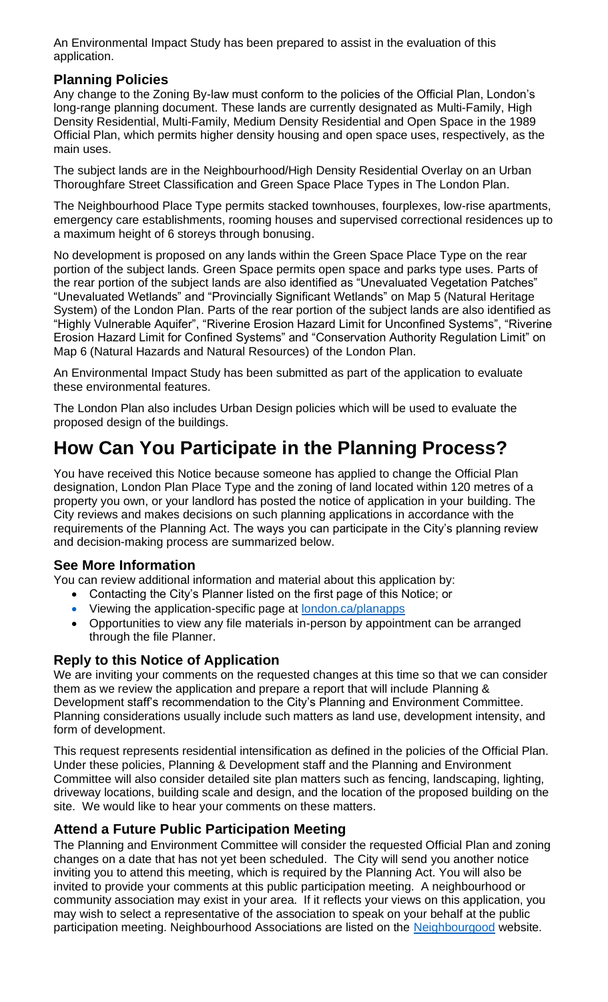An Environmental Impact Study has been prepared to assist in the evaluation of this application.

#### **Planning Policies**

Any change to the Zoning By-law must conform to the policies of the Official Plan, London's long-range planning document. These lands are currently designated as Multi-Family, High Density Residential, Multi-Family, Medium Density Residential and Open Space in the 1989 Official Plan, which permits higher density housing and open space uses, respectively, as the main uses.

The subject lands are in the Neighbourhood/High Density Residential Overlay on an Urban Thoroughfare Street Classification and Green Space Place Types in The London Plan.

The Neighbourhood Place Type permits stacked townhouses, fourplexes, low-rise apartments, emergency care establishments, rooming houses and supervised correctional residences up to a maximum height of 6 storeys through bonusing.

No development is proposed on any lands within the Green Space Place Type on the rear portion of the subject lands. Green Space permits open space and parks type uses. Parts of the rear portion of the subject lands are also identified as "Unevaluated Vegetation Patches" "Unevaluated Wetlands" and "Provincially Significant Wetlands" on Map 5 (Natural Heritage System) of the London Plan. Parts of the rear portion of the subject lands are also identified as "Highly Vulnerable Aquifer", "Riverine Erosion Hazard Limit for Unconfined Systems", "Riverine Erosion Hazard Limit for Confined Systems" and "Conservation Authority Regulation Limit" on Map 6 (Natural Hazards and Natural Resources) of the London Plan.

An Environmental Impact Study has been submitted as part of the application to evaluate these environmental features.

The London Plan also includes Urban Design policies which will be used to evaluate the proposed design of the buildings.

### **How Can You Participate in the Planning Process?**

You have received this Notice because someone has applied to change the Official Plan designation, London Plan Place Type and the zoning of land located within 120 metres of a property you own, or your landlord has posted the notice of application in your building. The City reviews and makes decisions on such planning applications in accordance with the requirements of the Planning Act. The ways you can participate in the City's planning review and decision-making process are summarized below.

#### **See More Information**

You can review additional information and material about this application by:

- Contacting the City's Planner listed on the first page of this Notice; or
- Viewing the application-specific page at [london.ca/planapps](https://london.ca/planapps)
- Opportunities to view any file materials in-person by appointment can be arranged through the file Planner.

#### **Reply to this Notice of Application**

We are inviting your comments on the requested changes at this time so that we can consider them as we review the application and prepare a report that will include Planning & Development staff's recommendation to the City's Planning and Environment Committee. Planning considerations usually include such matters as land use, development intensity, and form of development.

This request represents residential intensification as defined in the policies of the Official Plan. Under these policies, Planning & Development staff and the Planning and Environment Committee will also consider detailed site plan matters such as fencing, landscaping, lighting, driveway locations, building scale and design, and the location of the proposed building on the site. We would like to hear your comments on these matters.

#### **Attend a Future Public Participation Meeting**

The Planning and Environment Committee will consider the requested Official Plan and zoning changes on a date that has not yet been scheduled. The City will send you another notice inviting you to attend this meeting, which is required by the Planning Act. You will also be invited to provide your comments at this public participation meeting. A neighbourhood or community association may exist in your area. If it reflects your views on this application, you may wish to select a representative of the association to speak on your behalf at the public participation meeting. Neighbourhood Associations are listed on the [Neighbourgood](https://www.neighbourgoodlondon.ca/) website.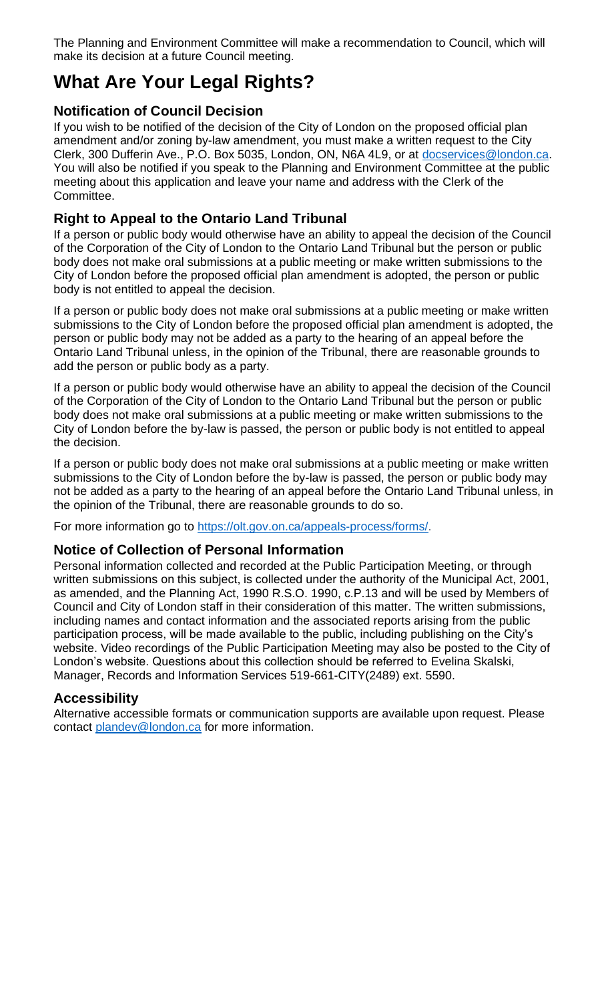The Planning and Environment Committee will make a recommendation to Council, which will make its decision at a future Council meeting.

## **What Are Your Legal Rights?**

#### **Notification of Council Decision**

If you wish to be notified of the decision of the City of London on the proposed official plan amendment and/or zoning by-law amendment, you must make a written request to the City Clerk, 300 Dufferin Ave., P.O. Box 5035, London, ON, N6A 4L9, or at [docservices@london.ca.](mailto:docservices@london.ca) You will also be notified if you speak to the Planning and Environment Committee at the public meeting about this application and leave your name and address with the Clerk of the Committee.

#### **Right to Appeal to the Ontario Land Tribunal**

If a person or public body would otherwise have an ability to appeal the decision of the Council of the Corporation of the City of London to the Ontario Land Tribunal but the person or public body does not make oral submissions at a public meeting or make written submissions to the City of London before the proposed official plan amendment is adopted, the person or public body is not entitled to appeal the decision.

If a person or public body does not make oral submissions at a public meeting or make written submissions to the City of London before the proposed official plan amendment is adopted, the person or public body may not be added as a party to the hearing of an appeal before the Ontario Land Tribunal unless, in the opinion of the Tribunal, there are reasonable grounds to add the person or public body as a party.

If a person or public body would otherwise have an ability to appeal the decision of the Council of the Corporation of the City of London to the Ontario Land Tribunal but the person or public body does not make oral submissions at a public meeting or make written submissions to the City of London before the by-law is passed, the person or public body is not entitled to appeal the decision.

If a person or public body does not make oral submissions at a public meeting or make written submissions to the City of London before the by-law is passed, the person or public body may not be added as a party to the hearing of an appeal before the Ontario Land Tribunal unless, in the opinion of the Tribunal, there are reasonable grounds to do so.

For more information go to [https://olt.gov.on.ca/appeals-process/forms/.](https://olt.gov.on.ca/appeals-process/forms/)

#### **Notice of Collection of Personal Information**

Personal information collected and recorded at the Public Participation Meeting, or through written submissions on this subject, is collected under the authority of the Municipal Act, 2001, as amended, and the Planning Act, 1990 R.S.O. 1990, c.P.13 and will be used by Members of Council and City of London staff in their consideration of this matter. The written submissions, including names and contact information and the associated reports arising from the public participation process, will be made available to the public, including publishing on the City's website. Video recordings of the Public Participation Meeting may also be posted to the City of London's website. Questions about this collection should be referred to Evelina Skalski, Manager, Records and Information Services 519-661-CITY(2489) ext. 5590.

#### **Accessibility**

Alternative accessible formats or communication supports are available upon request. Please contact [plandev@london.ca](mailto:plandev@london.ca) for more information.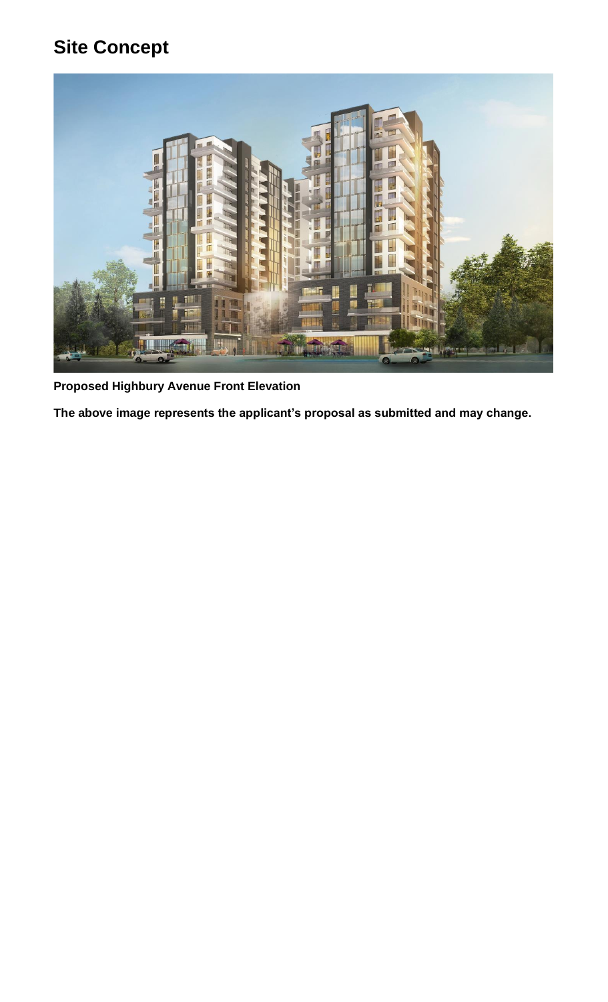## **Site Concept**



**Proposed Highbury Avenue Front Elevation**

**The above image represents the applicant's proposal as submitted and may change.**